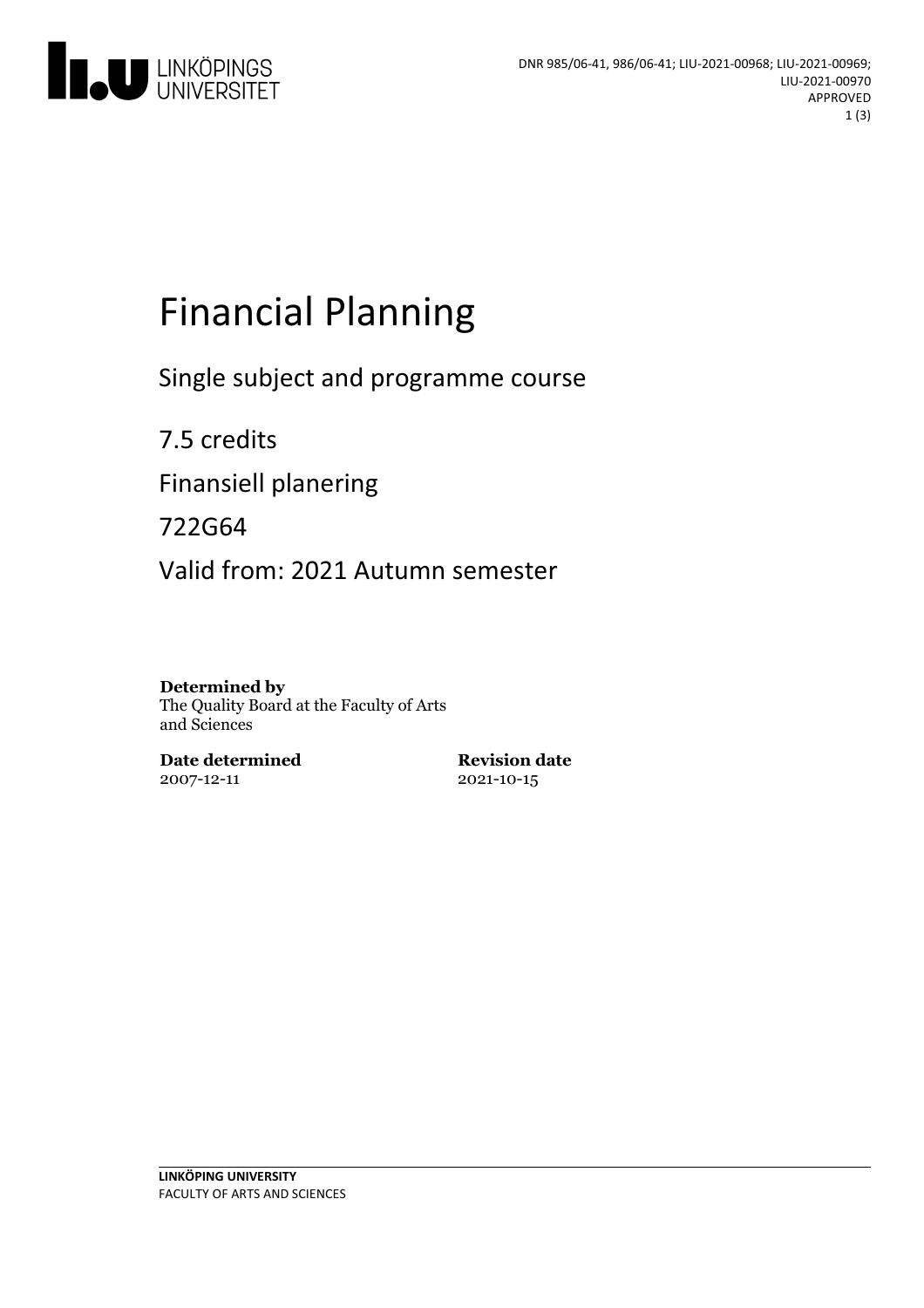

# Financial Planning

Single subject and programme course

7.5 credits Finansiell planering 722G64 Valid from: 2021 Autumn semester

**Determined by** The Quality Board at the Faculty of Arts and Sciences

**Date determined** 2007-12-11

**Revision date** 2021-10-15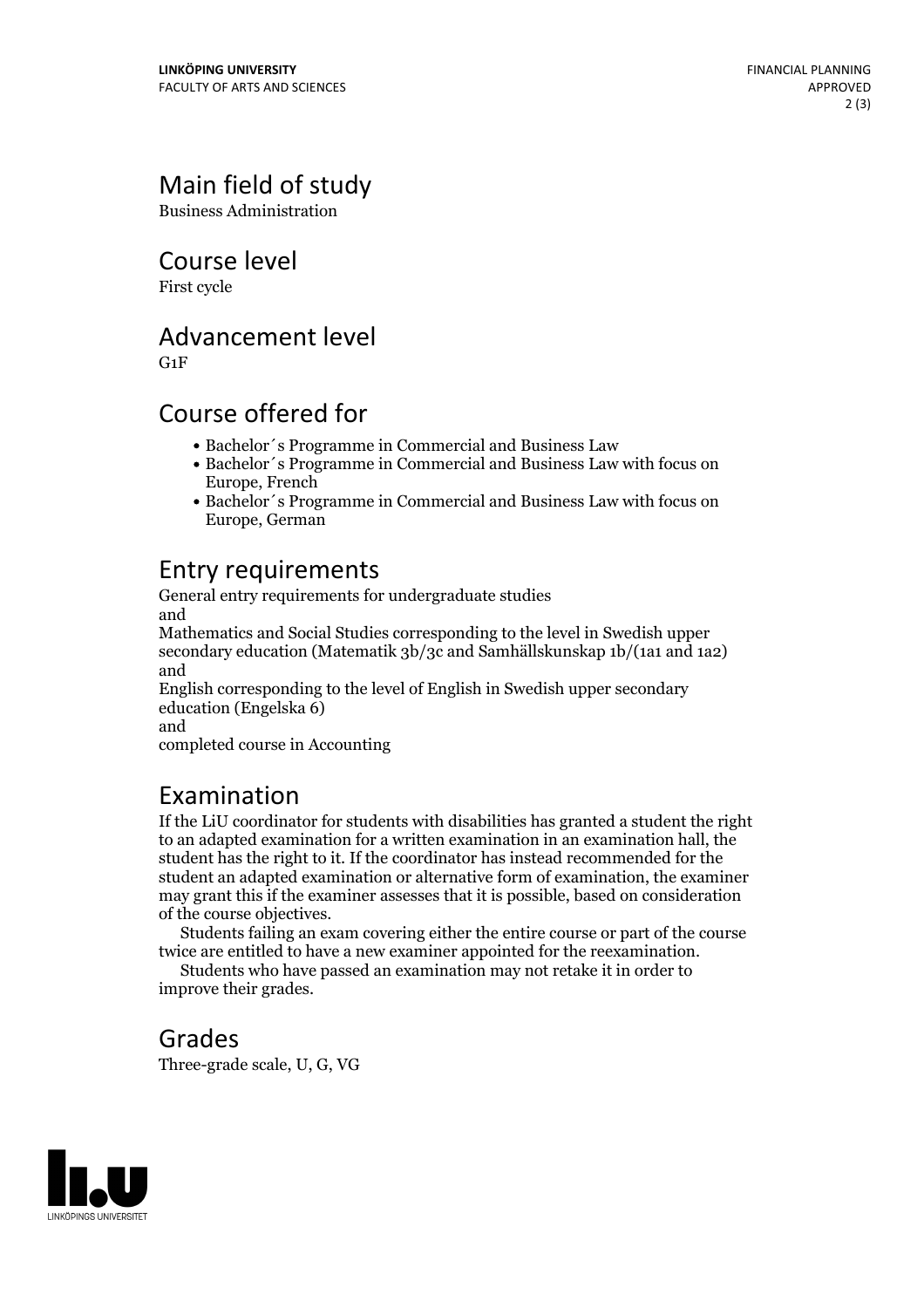## Main field of study

Business Administration

Course level

First cycle

Advancement level

G1F

#### Course offered for

- Bachelor´s Programme in Commercial and Business Law
- Bachelor´s Programme in Commercial and Business Law with focus on Europe, French
- Bachelor´s Programme in Commercial and Business Law with focus on Europe, German

### Entry requirements

General entry requirements for undergraduate studies and

Mathematics and Social Studies corresponding to the level in Swedish upper secondary education (Matematik 3b/3c and Samhällskunskap 1b/(1a1 and 1a2) and

English corresponding to the level of English in Swedish upper secondary education (Engelska 6)

and

completed course in Accounting

#### Examination

If the LiU coordinator for students with disabilities has granted a student the right to an adapted examination for a written examination in an examination hall, the student has the right to it. If the coordinator has instead recommended for the student an adapted examination or alternative form of examination, the examiner may grant this if the examiner assesses that it is possible, based on consideration

of the course objectives. Students failing an exam covering either the entire course or part of the course twice are entitled to have <sup>a</sup> new examiner appointed for the reexamination. Students who have passed an examination may not retake it in order to

improve their grades.

## Grades

Three-grade scale, U, G, VG